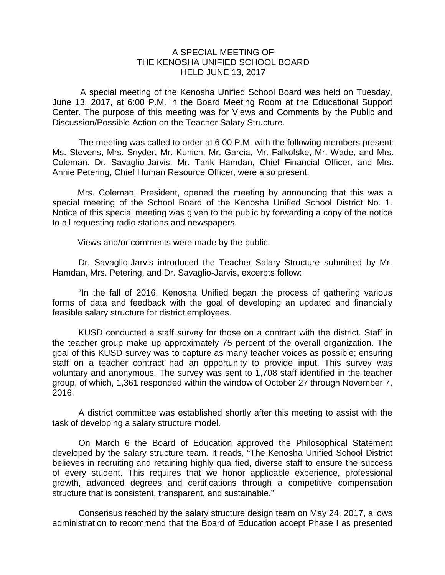## A SPECIAL MEETING OF THE KENOSHA UNIFIED SCHOOL BOARD HELD JUNE 13, 2017

A special meeting of the Kenosha Unified School Board was held on Tuesday, June 13, 2017, at 6:00 P.M. in the Board Meeting Room at the Educational Support Center. The purpose of this meeting was for Views and Comments by the Public and Discussion/Possible Action on the Teacher Salary Structure.

The meeting was called to order at 6:00 P.M. with the following members present: Ms. Stevens, Mrs. Snyder, Mr. Kunich, Mr. Garcia, Mr. Falkofske, Mr. Wade, and Mrs. Coleman. Dr. Savaglio-Jarvis. Mr. Tarik Hamdan, Chief Financial Officer, and Mrs. Annie Petering, Chief Human Resource Officer, were also present.

Mrs. Coleman, President, opened the meeting by announcing that this was a special meeting of the School Board of the Kenosha Unified School District No. 1. Notice of this special meeting was given to the public by forwarding a copy of the notice to all requesting radio stations and newspapers.

Views and/or comments were made by the public.

Dr. Savaglio-Jarvis introduced the Teacher Salary Structure submitted by Mr. Hamdan, Mrs. Petering, and Dr. Savaglio-Jarvis, excerpts follow:

"In the fall of 2016, Kenosha Unified began the process of gathering various forms of data and feedback with the goal of developing an updated and financially feasible salary structure for district employees.

KUSD conducted a staff survey for those on a contract with the district. Staff in the teacher group make up approximately 75 percent of the overall organization. The goal of this KUSD survey was to capture as many teacher voices as possible; ensuring staff on a teacher contract had an opportunity to provide input. This survey was voluntary and anonymous. The survey was sent to 1,708 staff identified in the teacher group, of which, 1,361 responded within the window of October 27 through November 7, 2016.

A district committee was established shortly after this meeting to assist with the task of developing a salary structure model.

On March 6 the Board of Education approved the Philosophical Statement developed by the salary structure team. It reads, "The Kenosha Unified School District believes in recruiting and retaining highly qualified, diverse staff to ensure the success of every student. This requires that we honor applicable experience, professional growth, advanced degrees and certifications through a competitive compensation structure that is consistent, transparent, and sustainable."

Consensus reached by the salary structure design team on May 24, 2017, allows administration to recommend that the Board of Education accept Phase I as presented